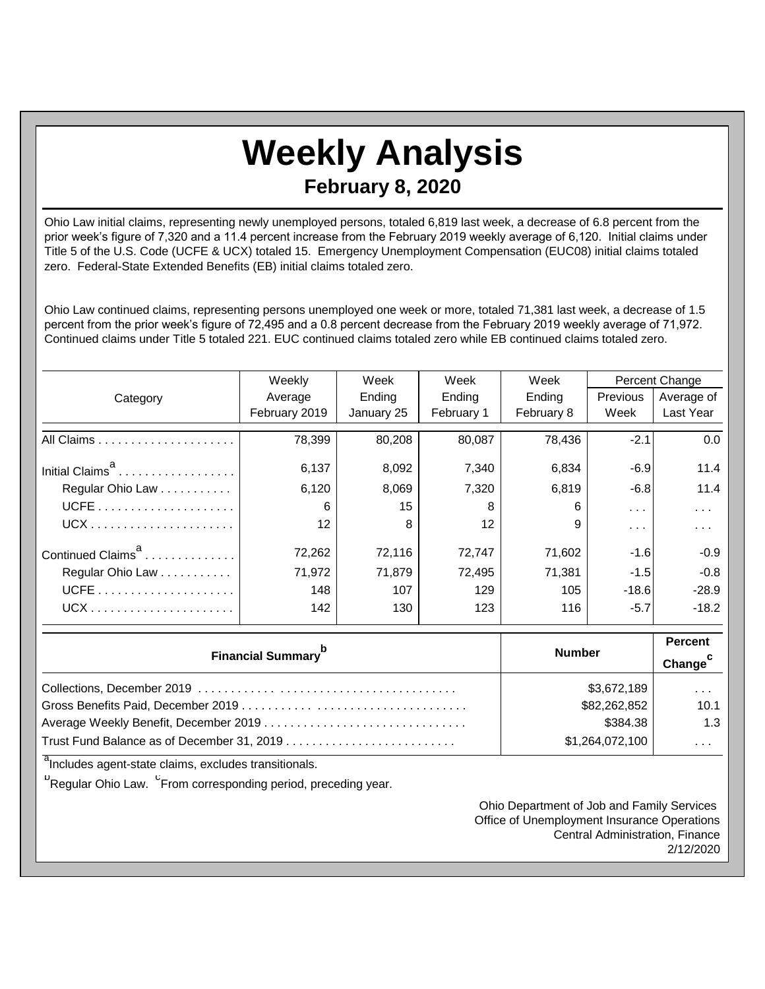## **Weekly Analysis February 8, 2020**

Ohio Law initial claims, representing newly unemployed persons, totaled 6,819 last week, a decrease of 6.8 percent from the prior week's figure of 7,320 and a 11.4 percent increase from the February 2019 weekly average of 6,120. Initial claims under Title 5 of the U.S. Code (UCFE & UCX) totaled 15. Emergency Unemployment Compensation (EUC08) initial claims totaled zero. Federal-State Extended Benefits (EB) initial claims totaled zero.

Ohio Law continued claims, representing persons unemployed one week or more, totaled 71,381 last week, a decrease of 1.5 percent from the prior week's figure of 72,495 and a 0.8 percent decrease from the February 2019 weekly average of 71,972. Continued claims under Title 5 totaled 221. EUC continued claims totaled zero while EB continued claims totaled zero.

|                               | Weekly            | Week<br>Week |                 | Week<br>Percent Change |               |            |
|-------------------------------|-------------------|--------------|-----------------|------------------------|---------------|------------|
| Category                      | Average           | Ending       | Ending          | Ending                 | Previous      | Average of |
|                               | February 2019     | January 25   | February 1      | February 8             | Week          | Last Year  |
|                               | 78,399            | 80,208       | 80,087          | 78,436                 | $-2.1$        | 0.0        |
| Initial Claims <sup>a</sup>   | 6,137             | 8,092        | 7,340           | 6,834                  | $-6.9$        | 11.4       |
| Regular Ohio Law              | 6,120             | 8,069        | 7,320           | 6,819                  | $-6.8$        | 11.4       |
|                               | 6                 | 15           | 8               | 6                      | $\sim$ $\sim$ | .          |
|                               | $12 \overline{ }$ | 8            | 12 <sup>2</sup> | 9                      | .             | .          |
| Continued Claims <sup>a</sup> | 72,262            | 72,116       | 72,747          | 71,602                 | $-1.6$        | $-0.9$     |
| Regular Ohio Law              | 71,972            | 71,879       | 72,495          | 71,381                 | $-1.5$        | $-0.8$     |
|                               | 148               | 107          | 129             | 105                    | $-18.6$       | $-28.9$    |
| $UCX$                         | 142               | 130          | 123             | 116                    | $-5.7$        | $-18.2$    |

| <b>Financial Summary</b> <sup>p</sup> | <b>Number</b>   | <b>Percent</b><br>Change <sup>c</sup> |
|---------------------------------------|-----------------|---------------------------------------|
|                                       | \$3,672,189     | $\cdots$                              |
|                                       | \$82,262,852    | 10.1                                  |
|                                       | \$384.38        | 1.3                                   |
|                                       | \$1,264,072,100 | $\cdots$                              |

<sup>a</sup>Includes agent-state claims, excludes transitionals.

<sup>b</sup>Regular Ohio Law. <sup>C</sup>From corresponding period, preceding year.

Ohio Department of Job and Family Services Office of Unemployment Insurance Operations Central Administration, Finance 2/12/2020